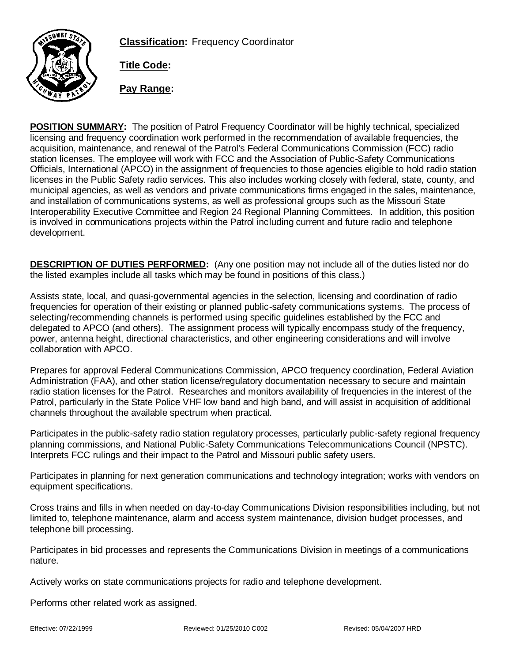



**Title Code:**

**Pay Range:**

**POSITION SUMMARY:** The position of Patrol Frequency Coordinator will be highly technical, specialized licensing and frequency coordination work performed in the recommendation of available frequencies, the acquisition, maintenance, and renewal of the Patrol's Federal Communications Commission (FCC) radio station licenses. The employee will work with FCC and the Association of Public-Safety Communications Officials, International (APCO) in the assignment of frequencies to those agencies eligible to hold radio station licenses in the Public Safety radio services. This also includes working closely with federal, state, county, and municipal agencies, as well as vendors and private communications firms engaged in the sales, maintenance, and installation of communications systems, as well as professional groups such as the Missouri State Interoperability Executive Committee and Region 24 Regional Planning Committees. In addition, this position is involved in communications projects within the Patrol including current and future radio and telephone development.

**DESCRIPTION OF DUTIES PERFORMED:** (Any one position may not include all of the duties listed nor do the listed examples include all tasks which may be found in positions of this class.)

Assists state, local, and quasi-governmental agencies in the selection, licensing and coordination of radio frequencies for operation of their existing or planned public-safety communications systems. The process of selecting/recommending channels is performed using specific guidelines established by the FCC and delegated to APCO (and others). The assignment process will typically encompass study of the frequency, power, antenna height, directional characteristics, and other engineering considerations and will involve collaboration with APCO.

Prepares for approval Federal Communications Commission, APCO frequency coordination, Federal Aviation Administration (FAA), and other station license/regulatory documentation necessary to secure and maintain radio station licenses for the Patrol. Researches and monitors availability of frequencies in the interest of the Patrol, particularly in the State Police VHF low band and high band, and will assist in acquisition of additional channels throughout the available spectrum when practical.

Participates in the public-safety radio station regulatory processes, particularly public-safety regional frequency planning commissions, and National Public-Safety Communications Telecommunications Council (NPSTC). Interprets FCC rulings and their impact to the Patrol and Missouri public safety users.

Participates in planning for next generation communications and technology integration; works with vendors on equipment specifications.

Cross trains and fills in when needed on day-to-day Communications Division responsibilities including, but not limited to, telephone maintenance, alarm and access system maintenance, division budget processes, and telephone bill processing.

Participates in bid processes and represents the Communications Division in meetings of a communications nature.

Actively works on state communications projects for radio and telephone development.

Performs other related work as assigned.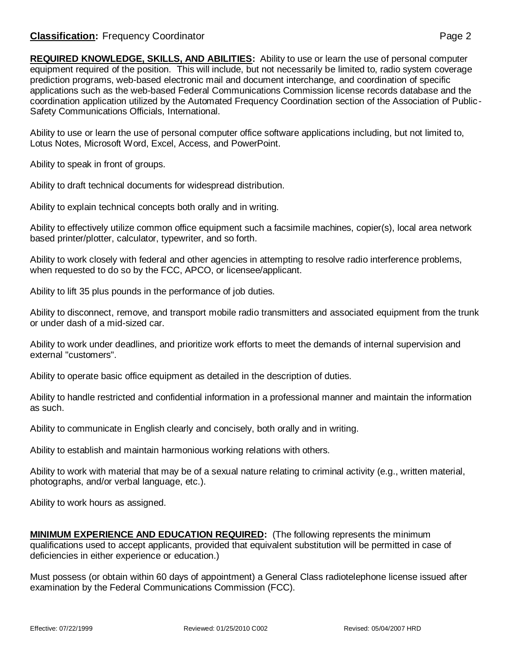## **Classification:** Frequency Coordinator **Page 2 Page 2**

**REQUIRED KNOWLEDGE, SKILLS, AND ABILITIES:** Ability to use or learn the use of personal computer equipment required of the position. This will include, but not necessarily be limited to, radio system coverage prediction programs, web-based electronic mail and document interchange, and coordination of specific applications such as the web-based Federal Communications Commission license records database and the coordination application utilized by the Automated Frequency Coordination section of the Association of Public-Safety Communications Officials, International.

Ability to use or learn the use of personal computer office software applications including, but not limited to, Lotus Notes, Microsoft Word, Excel, Access, and PowerPoint.

Ability to speak in front of groups.

Ability to draft technical documents for widespread distribution.

Ability to explain technical concepts both orally and in writing.

Ability to effectively utilize common office equipment such a facsimile machines, copier(s), local area network based printer/plotter, calculator, typewriter, and so forth.

Ability to work closely with federal and other agencies in attempting to resolve radio interference problems, when requested to do so by the FCC, APCO, or licensee/applicant.

Ability to lift 35 plus pounds in the performance of job duties.

Ability to disconnect, remove, and transport mobile radio transmitters and associated equipment from the trunk or under dash of a mid-sized car.

Ability to work under deadlines, and prioritize work efforts to meet the demands of internal supervision and external "customers".

Ability to operate basic office equipment as detailed in the description of duties.

Ability to handle restricted and confidential information in a professional manner and maintain the information as such.

Ability to communicate in English clearly and concisely, both orally and in writing.

Ability to establish and maintain harmonious working relations with others.

Ability to work with material that may be of a sexual nature relating to criminal activity (e.g., written material, photographs, and/or verbal language, etc.).

Ability to work hours as assigned.

**MINIMUM EXPERIENCE AND EDUCATION REQUIRED:** (The following represents the minimum qualifications used to accept applicants, provided that equivalent substitution will be permitted in case of deficiencies in either experience or education.)

Must possess (or obtain within 60 days of appointment) a General Class radiotelephone license issued after examination by the Federal Communications Commission (FCC).